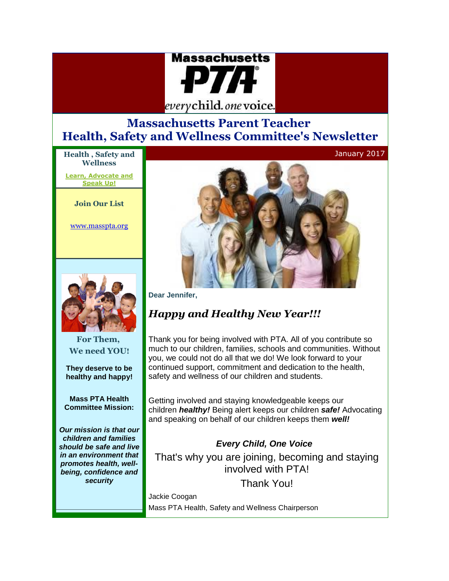

# **Massachusetts Parent Teacher Health, Safety and Wellness Committee's Newsletter**

**Health , Safety and Wellness**

**[Learn, Advocate and](https://connect.xfinity.com/appsuite/#LETTER.BLOCK10)  [Speak Up!](https://connect.xfinity.com/appsuite/#LETTER.BLOCK10)**

**Join Our List**

[www.masspta.org](http://r20.rs6.net/tn.jsp?f=001rwDU871PKJZjqIWp0rOxvWqSaPjuh1D3KohRIwQt38_luojCMfw67Ia5SttCRHITei5KpCvVHcWQF44qytA3zEfHIhcj3WQmQhO8iTGxbI87ano9NdJ-SmnemPWK7mZlOjiRfJcYAJO1yhe-DIc-s8fo3n6J0l8PNyRurvPtzVY=&c=gGQW7-lyITh7nqojYh22BkKERUxbfJYm73mo8ciZxT_OMgBEwvK1ZA==&ch=MTDG3BsBkMV-y8mC0we2-Zmy9gRpArnfeK13ZWFNZ0s9OY5LQG5DYQ==)



**For Them, We need YOU!**

**They deserve to be healthy and happy!**

**Mass PTA Health Committee Mission:**

*Our mission is that our children and families should be safe and live in an environment that promotes health, wellbeing, confidence and security*



#### **Dear Jennifer,**

# *Happy and Healthy New Year!!!*

Thank you for being involved with PTA. All of you contribute so much to our children, families, schools and communities. Without you, we could not do all that we do! We look forward to your continued support, commitment and dedication to the health, safety and wellness of our children and students.

Getting involved and staying knowledgeable keeps our children *healthy!* Being alert keeps our children *safe!* Advocating and speaking on behalf of our children keeps them *well!*

## *Every Child, One Voice*

That's why you are joining, becoming and staying involved with PTA!

Thank You!

Jackie Coogan Mass PTA Health, Safety and Wellness Chairperson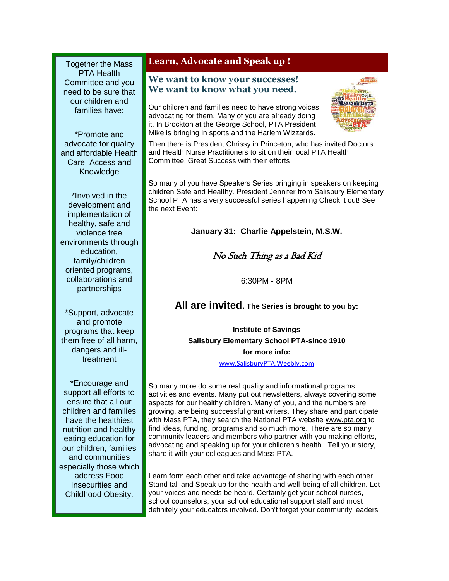Together the Mass PTA Health Committee and you need to be sure that our children and families have:

\*Promote and advocate for quality and affordable Health Care Access and Knowledge

\*Involved in the development and implementation of healthy, safe and violence free environments through education, family/children oriented programs, collaborations and partnerships

\*Support, advocate and promote programs that keep them free of all harm, dangers and illtreatment

\*Encourage and support all efforts to ensure that all our children and families have the healthiest nutrition and healthy eating education for our children, families and communities especially those which address Food Insecurities and Childhood Obesity.

### **Learn, Advocate and Speak up !**

#### **We want to know your successes! We want to know what you need.**

Our children and families need to have strong voices advocating for them. Many of you are already doing it. In Brockton at the George School, PTA President Mike is bringing in sports and the Harlem Wizzards.



Then there is President Chrissy in Princeton, who has invited Doctors and Health Nurse Practitioners to sit on their local PTA Health Committee. Great Success with their efforts

So many of you have Speakers Series bringing in speakers on keeping children Safe and Healthy. President Jennifer from Salisbury Elementary School PTA has a very successful series happening Check it out! See the next Event:

#### **January 31: Charlie Appelstein, M.S.W.**

## No Such Thing as a Bad Kid

6:30PM - 8PM

### **All are invited. The Series is brought to you by:**

**Institute of Savings Salisbury Elementary School PTA-since 1910 for more info:**

[www.SalisburyPTA.Weebly.com](http://r20.rs6.net/tn.jsp?f=001rwDU871PKJZjqIWp0rOxvWqSaPjuh1D3KohRIwQt38_luojCMfw67CJMmg3XdAKQTc9V84wUh-fRGq0RPKbD1L5_4luQUlS253mAa5yL4cV769oYuSQZPhKvhU6tiLg44wJIxsAUvOjxIDpeL22yAeZCaVZi75TwumgMff-e_llLB06wby483w==&c=gGQW7-lyITh7nqojYh22BkKERUxbfJYm73mo8ciZxT_OMgBEwvK1ZA==&ch=MTDG3BsBkMV-y8mC0we2-Zmy9gRpArnfeK13ZWFNZ0s9OY5LQG5DYQ==)

So many more do some real quality and informational programs, activities and events. Many put out newsletters, always covering some aspects for our healthy children. Many of you, and the numbers are growing, are being successful grant writers. They share and participate with Mass PTA, they search the National PTA website [www.pta.org](http://r20.rs6.net/tn.jsp?f=001rwDU871PKJZjqIWp0rOxvWqSaPjuh1D3KohRIwQt38_luojCMfw67HyC0Fh4qMohN6zsibuBHPeev_Sj9Qe2rKcfSEXPHUKPAEPZU6_fOZt5knKpszqU65IuEdQzTF7PbbeA3Bsaive3F8exodFhjpVdmS1grE_j&c=gGQW7-lyITh7nqojYh22BkKERUxbfJYm73mo8ciZxT_OMgBEwvK1ZA==&ch=MTDG3BsBkMV-y8mC0we2-Zmy9gRpArnfeK13ZWFNZ0s9OY5LQG5DYQ==) to find ideas, funding, programs and so much more. There are so many community leaders and members who partner with you making efforts, advocating and speaking up for your children's health. Tell your story, share it with your colleagues and Mass PTA.

Learn form each other and take advantage of sharing with each other. Stand tall and Speak up for the health and well-being of all children. Let your voices and needs be heard. Certainly get your school nurses, school counselors, your school educational support staff and most definitely your educators involved. Don't forget your community leaders